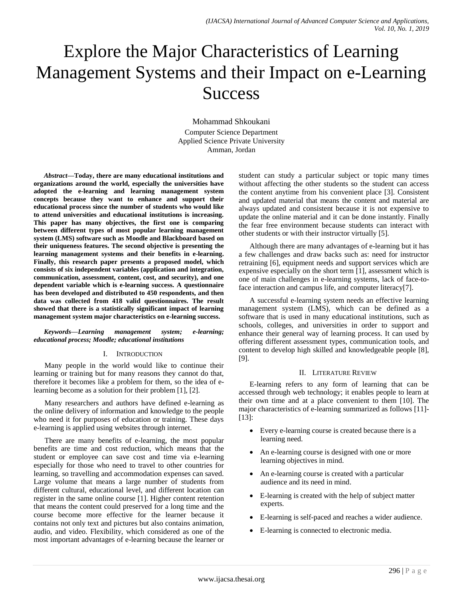# Explore the Major Characteristics of Learning Management Systems and their Impact on e-Learning **Success**

Mohammad Shkoukani Computer Science Department Applied Science Private University Amman, Jordan

*Abstract***—Today, there are many educational institutions and organizations around the world, especially the universities have adopted the e-learning and learning management system concepts because they want to enhance and support their educational process since the number of students who would like to attend universities and educational institutions is increasing. This paper has many objectives, the first one is comparing between different types of most popular learning management system (LMS) software such as Moodle and Blackboard based on their uniqueness features. The second objective is presenting the learning management systems and their benefits in e-learning. Finally, this research paper presents a proposed model, which consists of six independent variables (application and integration, communication, assessment, content, cost, and security), and one dependent variable which is e-learning success. A questionnaire has been developed and distributed to 450 respondents, and then data was collected from 418 valid questionnaires. The result showed that there is a statistically significant impact of learning management system major characteristics on e-learning success.**

#### *Keywords—Learning management system; e-learning; educational process; Moodle; educational institutions*

## I. INTRODUCTION

Many people in the world would like to continue their learning or training but for many reasons they cannot do that, therefore it becomes like a problem for them, so the idea of elearning become as a solution for their problem [1], [2].

Many researchers and authors have defined e-learning as the online delivery of information and knowledge to the people who need it for purposes of education or training. These days e-learning is applied using websites through internet.

There are many benefits of e-learning, the most popular benefits are time and cost reduction, which means that the student or employee can save cost and time via e-learning especially for those who need to travel to other countries for learning, so travelling and accommodation expenses can saved. Large volume that means a large number of students from different cultural, educational level, and different location can register in the same online course [1]. Higher content retention that means the content could preserved for a long time and the course become more effective for the learner because it contains not only text and pictures but also contains animation, audio, and video. Flexibility, which considered as one of the most important advantages of e-learning because the learner or student can study a particular subject or topic many times without affecting the other students so the student can access the content anytime from his convenient place [3]. Consistent and updated material that means the content and material are always updated and consistent because it is not expensive to update the online material and it can be done instantly. Finally the fear free environment because students can interact with other students or with their instructor virtually [5].

Although there are many advantages of e-learning but it has a few challenges and draw backs such as: need for instructor retraining [6], equipment needs and support services which are expensive especially on the short term [1], assessment which is one of main challenges in e-learning systems, lack of face-toface interaction and campus life, and computer literacy[7].

A successful e-learning system needs an effective learning management system (LMS), which can be defined as a software that is used in many educational institutions, such as schools, colleges, and universities in order to support and enhance their general way of learning process. It can used by offering different assessment types, communication tools, and content to develop high skilled and knowledgeable people [8], [9].

#### II. LITERATURE REVIEW

E-learning refers to any form of learning that can be accessed through web technology; it enables people to learn at their own time and at a place convenient to them [10]. The major characteristics of e-learning summarized as follows [11]- [13]:

- Every e-learning course is created because there is a learning need.
- An e-learning course is designed with one or more learning objectives in mind.
- An e-learning course is created with a particular audience and its need in mind.
- E-learning is created with the help of subject matter experts.
- E-learning is self-paced and reaches a wider audience.
- E-learning is connected to electronic media.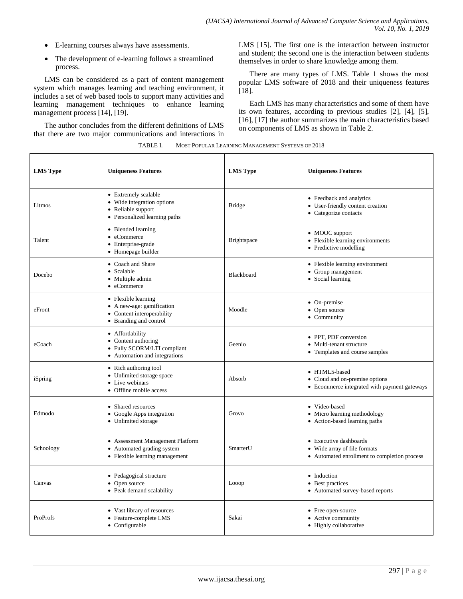- E-learning courses always have assessments.
- The development of e-learning follows a streamlined process.

LMS can be considered as a part of content management system which manages learning and teaching environment, it includes a set of web based tools to support many activities and learning management techniques to enhance learning management process [14], [19].

The author concludes from the different definitions of LMS that there are two major communications and interactions in LMS [15]. The first one is the interaction between instructor and student; the second one is the interaction between students themselves in order to share knowledge among them.

There are many types of LMS. Table 1 shows the most popular LMS software of 2018 and their uniqueness features [18].

Each LMS has many characteristics and some of them have its own features, according to previous studies [2], [4], [5], [16], [17] the author summarizes the main characteristics based on components of LMS as shown in Table 2.

| <b>LMS Type</b> | <b>Uniqueness Features</b>                                                                                | <b>LMS</b> Type    | <b>Uniqueness Features</b>                                                                             |  |  |
|-----------------|-----------------------------------------------------------------------------------------------------------|--------------------|--------------------------------------------------------------------------------------------------------|--|--|
| Litmos          | • Extremely scalable<br>• Wide integration options<br>• Reliable support<br>• Personalized learning paths | <b>Bridge</b>      | • Feedback and analytics<br>• User-friendly content creation<br>• Categorize contacts                  |  |  |
| Talent          | • Blended learning<br>• eCommerce<br>• Enterprise-grade<br>• Homepage builder                             | <b>Brightspace</b> | • MOOC support<br>• Flexible learning environments<br>• Predictive modelling                           |  |  |
| Docebo          | • Coach and Share<br>• Scalable<br>• Multiple admin<br>• eCommerce                                        | <b>Blackboard</b>  | • Flexible learning environment<br>• Group management<br>• Social learning                             |  |  |
| eFront          | • Flexible learning<br>• A new-age: gamification<br>• Content interoperability<br>• Branding and control  | Moodle             | • On-premise<br>• Open source<br>• Community                                                           |  |  |
| eCoach          | • Affordability<br>• Content authoring<br>• Fully SCORM/LTI compliant<br>• Automation and integrations    | Geenio             | • PPT, PDF conversion<br>• Multi-tenant structure<br>• Templates and course samples                    |  |  |
| iSpring         | • Rich authoring tool<br>• Unlimited storage space<br>• Live webinars<br>• Offline mobile access          | Absorb             | • HTML5-based<br>• Cloud and on-premise options<br>• Ecommerce integrated with payment gateways        |  |  |
| Edmodo          | • Shared resources<br>• Google Apps integration<br>• Unlimited storage                                    | Grovo              | • Video-based<br>• Micro learning methodology<br>• Action-based learning paths                         |  |  |
| Schoology       | • Assessment Management Platform<br>• Automated grading system<br>• Flexible learning management          | SmarterU           | • Executive dashboards<br>• Wide array of file formats<br>• Automated enrollment to completion process |  |  |
| Canvas          | • Pedagogical structure<br>• Open source<br>• Peak demand scalability                                     | Looop              | • Induction<br>• Best practices<br>• Automated survey-based reports                                    |  |  |
| ProProfs        | • Vast library of resources<br>• Feature-complete LMS<br>$\bullet$ Configurable                           | Sakai              | • Free open-source<br>• Active community<br>• Highly collaborative                                     |  |  |

TABLE I. MOST POPULAR LEARNING MANAGEMENT SYSTEMS OF 2018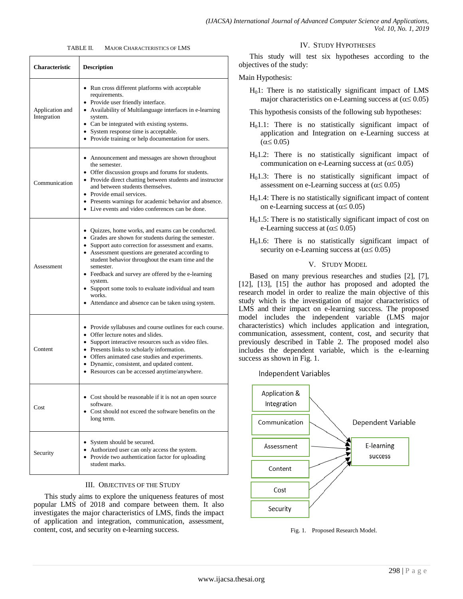TABLE II. MAJOR CHARACTERISTICS OF LMS

| <b>Characteristic</b>          | <b>Description</b>                                                                                                                                                                                                                                                                                                                                                                                                                                                                  |
|--------------------------------|-------------------------------------------------------------------------------------------------------------------------------------------------------------------------------------------------------------------------------------------------------------------------------------------------------------------------------------------------------------------------------------------------------------------------------------------------------------------------------------|
| Application and<br>Integration | • Run cross different platforms with acceptable<br>requirements.<br>• Provide user friendly interface.<br>• Availability of Multilanguage interfaces in e-learning<br>system.<br>• Can be integrated with existing systems.<br>• System response time is acceptable.<br>• Provide training or help documentation for users.                                                                                                                                                         |
| Communication                  | • Announcement and messages are shown throughout<br>the semester.<br>• Offer discussion groups and forums for students.<br>• Provide direct chatting between students and instructor<br>and between students themselves.<br>• Provide email services.<br>• Presents warnings for academic behavior and absence.<br>• Live events and video conferences can be done.                                                                                                                 |
| Assessment                     | • Quizzes, home works, and exams can be conducted.<br>• Grades are shown for students during the semester.<br>• Support auto correction for assessment and exams.<br>• Assessment questions are generated according to<br>student behavior throughout the exam time and the<br>semester.<br>• Feedback and survey are offered by the e-learning<br>system.<br>• Support some tools to evaluate individual and team<br>works.<br>• Attendance and absence can be taken using system. |
| Content                        | • Provide syllabuses and course outlines for each course.<br>• Offer lecture notes and slides.<br>• Support interactive resources such as video files.<br>• Presents links to scholarly information.<br>• Offers animated case studies and experiments.<br>• Dynamic, consistent, and updated content.<br>• Resources can be accessed anytime/anywhere.                                                                                                                             |
| Cost                           | Cost should be reasonable if it is not an open source<br>software.<br>• Cost should not exceed the software benefits on the<br>long term.                                                                                                                                                                                                                                                                                                                                           |
| Security                       | • System should be secured.<br>• Authorized user can only access the system.<br>• Provide two authentication factor for uploading<br>student marks.                                                                                                                                                                                                                                                                                                                                 |

# III. OBJECTIVES OF THE STUDY

This study aims to explore the uniqueness features of most popular LMS of 2018 and compare between them. It also investigates the major characteristics of LMS, finds the impact of application and integration, communication, assessment, content, cost, and security on e-learning success.

## IV. STUDY HYPOTHESES

This study will test six hypotheses according to the objectives of the study:

# Main Hypothesis:

 $H<sub>0</sub>1$ : There is no statistically significant impact of LMS major characteristics on e-Learning success at  $(\alpha \le 0.05)$ 

|  |  |  | This hypothesis consists of the following sub hypotheses: |
|--|--|--|-----------------------------------------------------------|
|  |  |  |                                                           |

- $H<sub>0</sub>1.1$ : There is no statistically significant impact of application and Integration on e-Learning success at  $(\alpha \leq 0.05)$
- $H<sub>0</sub>1.2$ : There is no statistically significant impact of communication on e-Learning success at  $(\alpha \le 0.05)$
- $H<sub>0</sub>1.3$ : There is no statistically significant impact of assessment on e-Learning success at  $(\alpha \le 0.05)$
- $H<sub>0</sub>1.4$ : There is no statistically significant impact of content on e-Learning success at  $(\alpha \leq 0.05)$
- $H<sub>0</sub>1.5$ : There is no statistically significant impact of cost on e-Learning success at  $(\alpha \le 0.05)$
- $H<sub>0</sub>1.6$ : There is no statistically significant impact of security on e-Learning success at  $(\alpha \le 0.05)$

# V. STUDY MODEL

Based on many previous researches and studies [2], [7], [12], [13], [15] the author has proposed and adopted the research model in order to realize the main objective of this study which is the investigation of major characteristics of LMS and their impact on e-learning success. The proposed model includes the independent variable (LMS major characteristics) which includes application and integration, communication, assessment, content, cost, and security that previously described in Table 2. The proposed model also includes the dependent variable, which is the e-learning success as shown in Fig. 1.

Independent Variables



Fig. 1. Proposed Research Model.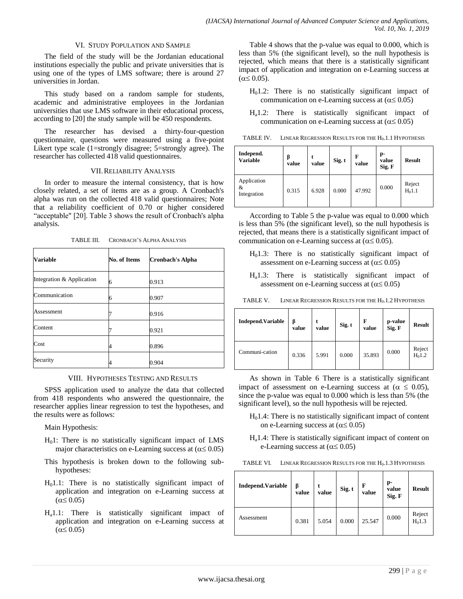## VI. STUDY POPULATION AND SAMPLE

The field of the study will be the Jordanian educational institutions especially the public and private universities that is using one of the types of LMS software; there is around 27 universities in Jordan.

This study based on a random sample for students, academic and administrative employees in the Jordanian universities that use LMS software in their educational process, according to [20] the study sample will be 450 respondents.

The researcher has devised a thirty-four-question questionnaire, questions were measured using a five-point Likert type scale (1=strongly disagree; 5=strongly agree). The researcher has collected 418 valid questionnaires.

## VII.RELIABILITY ANALYSIS

In order to measure the internal consistency, that is how closely related, a set of items are as a group. A Cronbach's alpha was run on the collected 418 valid questionnaires; Note that a reliability coefficient of 0.70 or higher considered "acceptable" [20]. Table 3 shows the result of Cronbach's alpha analysis.

| <b>Variable</b>           | <b>No. of Items</b> | <b>Cronbach's Alpha</b> |
|---------------------------|---------------------|-------------------------|
| Integration & Application | 6                   | 0.913                   |
| Communication             | 6                   | 0.907                   |
| Assessment                |                     | 0.916                   |
| Content                   |                     | 0.921                   |
| Cost                      |                     | 0.896                   |
| Security                  |                     | 0.904                   |

TABLE III. CRONBACH'S ALPHA ANALYSIS

# VIII. HYPOTHESES TESTING AND RESULTS

SPSS application used to analyze the data that collected from 418 respondents who answered the questionnaire, the researcher applies linear regression to test the hypotheses, and the results were as follows:

Main Hypothesis:

- $H<sub>0</sub>1$ : There is no statistically significant impact of LMS major characteristics on e-Learning success at  $(\alpha \le 0.05)$
- This hypothesis is broken down to the following subhypotheses:
- $H<sub>0</sub>1.1$ : There is no statistically significant impact of application and integration on e-Learning success at  $(\alpha \leq 0.05)$
- Ha1.1: There is statistically significant impact of application and integration on e-Learning success at  $(\alpha \leq 0.05)$

Table 4 shows that the p-value was equal to 0.000, which is less than 5% (the significant level), so the null hypothesis is rejected, which means that there is a statistically significant impact of application and integration on e-Learning success at  $(\alpha \leq 0.05)$ .

- $H<sub>0</sub>1.2$ : There is no statistically significant impact of communication on e-Learning success at  $(\alpha \le 0.05)$
- $H_a1.2$ : There is statistically significant impact of communication on e-Learning success at  $(\alpha \le 0.05)$

TABLE IV. LINEAR REGRESSION RESULTS FOR THE H<sub>0</sub>.1.1 HYPOTHESIS

| Independ.<br><b>Variable</b>    | ß<br>value | value | Sig. t | F<br>value | p-<br>value<br>Sig. F | <b>Result</b>      |
|---------------------------------|------------|-------|--------|------------|-----------------------|--------------------|
| Application<br>&<br>Integration | 0.315      | 6.928 | 0.000  | 47.992     | 0.000                 | Reject<br>$H_01.1$ |

According to Table 5 the p-value was equal to 0.000 which is less than 5% (the significant level), so the null hypothesis is rejected, that means there is a statistically significant impact of communication on e-Learning success at  $(\alpha \le 0.05)$ .

- $H<sub>0</sub>1.3$ : There is no statistically significant impact of assessment on e-Learning success at  $(\alpha \le 0.05)$
- Ha1.3: There is statistically significant impact of assessment on e-Learning success at  $(\alpha \le 0.05)$

| <b>Independ. Variable</b> | β<br>value | value | Sig. t | F<br>value | p-value<br>Sig. F | <b>Result</b>      |
|---------------------------|------------|-------|--------|------------|-------------------|--------------------|
| Communi-cation            | 0.336      | 5.991 | 0.000  | 35.893     | 0.000             | Reject<br>$H_01.2$ |

As shown in Table 6 There is a statistically significant impact of assessment on e-Learning success at ( $\alpha \le 0.05$ ), since the p-value was equal to 0.000 which is less than 5% (the significant level), so the null hypothesis will be rejected.

- $H<sub>0</sub>1.4$ : There is no statistically significant impact of content on e-Learning success at  $(\alpha \le 0.05)$
- $H<sub>a</sub>1.4$ : There is statistically significant impact of content on e-Learning success at  $(\alpha \le 0.05)$

| <b>Independ.Variable</b> | β<br>value | value | Sig. t | F<br>value | p-<br>value<br>Sig. F | <b>Result</b>       |
|--------------------------|------------|-------|--------|------------|-----------------------|---------------------|
| Assessment               | 0.381      | 5.054 | 0.000  | 25.547     | 0.000                 | Reject<br>$H_0$ 1.3 |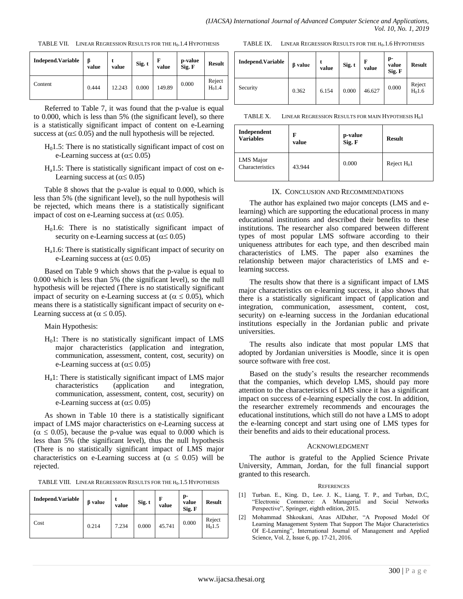TABLE VII. LINEAR REGRESSION RESULTS FOR THE H<sub>0</sub>.1.4 HYPOTHESIS

| <b>Independ. Variable</b> | ß<br>value | value  | Sig. t | F<br>value | p-value<br>Sig. F | <b>Result</b>      |
|---------------------------|------------|--------|--------|------------|-------------------|--------------------|
| Content                   | 0.444      | 12.243 | 0.000  | 149.89     | 0.000             | Reject<br>$H_01.4$ |

Referred to Table 7, it was found that the p-value is equal to 0.000, which is less than 5% (the significant level), so there is a statistically significant impact of content on e-Learning success at  $(\alpha \le 0.05)$  and the null hypothesis will be rejected.

- $H<sub>0</sub>1.5$ : There is no statistically significant impact of cost on e-Learning success at  $(\alpha \le 0.05)$
- $H<sub>a</sub>1.5$ : There is statistically significant impact of cost on e-Learning success at ( $\alpha \leq 0.05$ )

Table 8 shows that the p-value is equal to 0.000, which is less than 5% (the significant level), so the null hypothesis will be rejected, which means there is a statistically significant impact of cost on e-Learning success at  $(\alpha \le 0.05)$ .

- $H<sub>0</sub>1.6$ : There is no statistically significant impact of security on e-Learning success at  $(\alpha \le 0.05)$
- $H_a$ 1.6: There is statistically significant impact of security on e-Learning success at  $(\alpha \le 0.05)$

Based on Table 9 which shows that the p-value is equal to 0.000 which is less than 5% (the significant level), so the null hypothesis will be rejected (There is no statistically significant impact of security on e-Learning success at ( $\alpha \leq 0.05$ ), which means there is a statistically significant impact of security on e-Learning success at ( $\alpha \leq 0.05$ ).

Main Hypothesis:

- $H<sub>0</sub>1$ : There is no statistically significant impact of LMS major characteristics (application and integration, communication, assessment, content, cost, security) on e-Learning success at  $(\alpha \le 0.05)$
- $H_a$ 1: There is statistically significant impact of LMS major characteristics (application and integration, integration, communication, assessment, content, cost, security) on e-Learning success at  $(\alpha \le 0.05)$

As shown in Table 10 there is a statistically significant impact of LMS major characteristics on e-Learning success at  $(\alpha \le 0.05)$ , because the p-value was equal to 0.000 which is less than 5% (the significant level), thus the null hypothesis (There is no statistically significant impact of LMS major characteristics on e-Learning success at  $(\alpha \le 0.05)$  will be rejected.

|  | TABLE VIII. LINEAR REGRESSION RESULTS FOR THE H <sub>0</sub> .1.5 HYPOTHESIS |  |
|--|------------------------------------------------------------------------------|--|
|--|------------------------------------------------------------------------------|--|

| <b>Independ. Variable</b> | <b>B</b> value | value | Sig. t | value  | p-<br>value<br>Sig. F | <b>Result</b>       |
|---------------------------|----------------|-------|--------|--------|-----------------------|---------------------|
| Cost                      | 0.214          | 7.234 | 0.000  | 45.741 | 0.000                 | Reject<br>$H_0$ 1.5 |

| TABLE IX. | LINEAR REGRESSION RESULTS FOR THE $H_0$ . 1.6 HYPOTHESIS |
|-----------|----------------------------------------------------------|
|-----------|----------------------------------------------------------|

| <b>Independ. Variable</b> | <b><i>B</i></b> value | value | Sig. t | F<br>value | p-<br>value<br>Sig. F | <b>Result</b>       |
|---------------------------|-----------------------|-------|--------|------------|-----------------------|---------------------|
| Security                  | 0.362                 | 6.154 | 0.000  | 46.627     | 0.000                 | Reject<br>$H_0$ 1.6 |

TABLE X. LINEAR REGRESSION RESULTS FOR MAIN HYPOTHESIS H<sub>0</sub>1

| Independent                  | F      | p-value | <b>Result</b>  |
|------------------------------|--------|---------|----------------|
| <b>Variables</b>             | value  | Sig. F  |                |
| LMS Major<br>Characteristics | 43.944 | 0.000   | Reject $H_0$ 1 |

#### IX. CONCLUSION AND RECOMMENDATIONS

The author has explained two major concepts (LMS and elearning) which are supporting the educational process in many educational institutions and described their benefits to these institutions. The researcher also compared between different types of most popular LMS software according to their uniqueness attributes for each type, and then described main characteristics of LMS. The paper also examines the relationship between major characteristics of LMS and elearning success.

The results show that there is a significant impact of LMS major characteristics on e-learning success, it also shows that there is a statistically significant impact of (application and integration, communication, assessment, content, cost, security) on e-learning success in the Jordanian educational institutions especially in the Jordanian public and private universities.

The results also indicate that most popular LMS that adopted by Jordanian universities is Moodle, since it is open source software with free cost.

Based on the study's results the researcher recommends that the companies, which develop LMS, should pay more attention to the characteristics of LMS since it has a significant impact on success of e-learning especially the cost. In addition, the researcher extremely recommends and encourages the educational institutions, which still do not have a LMS to adopt the e-learning concept and start using one of LMS types for their benefits and aids to their educational process.

#### ACKNOWLEDGMENT

The author is grateful to the Applied Science Private University, Amman, Jordan, for the full financial support granted to this research.

#### **REFERENCES**

- [1] Turban. E., King. D., Lee. J. K., Liang, T. P., and Turban, D.C, "Electronic Commerce: A Managerial and Social Networks Perspective", Springer, eighth edition, 2015.
- [2] Mohammad Shkoukani, Anas AlDaher, "A Proposed Model Of Learning Management System That Support The Major Characteristics Of E-Learning", International Journal of Management and Applied Science, Vol. 2, Issue 6, pp. 17-21, 2016.